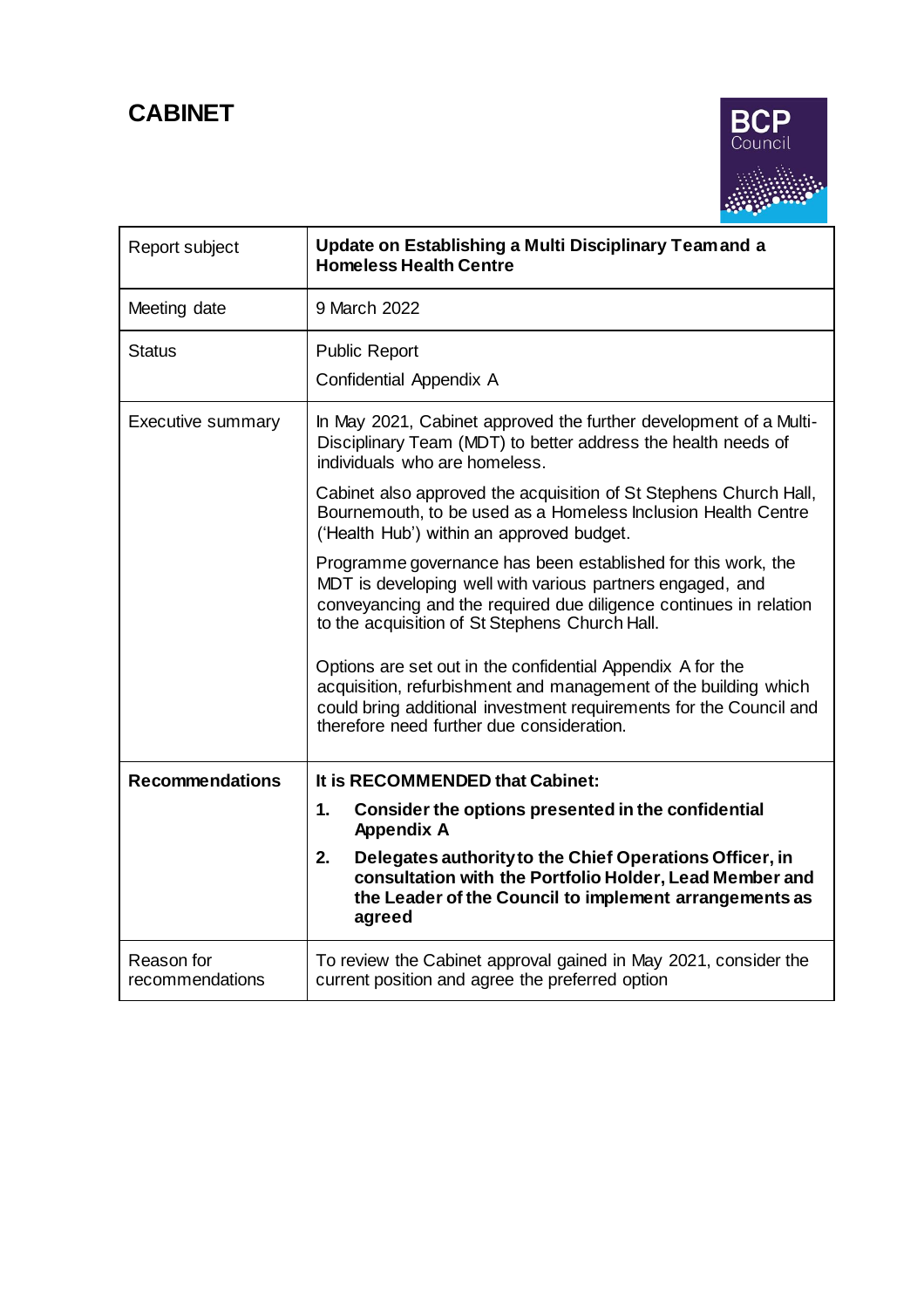# **CABINET**



| Report subject                | Update on Establishing a Multi Disciplinary Teamand a<br><b>Homeless Health Centre</b>                                                                                                                                                           |
|-------------------------------|--------------------------------------------------------------------------------------------------------------------------------------------------------------------------------------------------------------------------------------------------|
| Meeting date                  | 9 March 2022                                                                                                                                                                                                                                     |
| Status                        | <b>Public Report</b><br>Confidential Appendix A                                                                                                                                                                                                  |
| <b>Executive summary</b>      | In May 2021, Cabinet approved the further development of a Multi-<br>Disciplinary Team (MDT) to better address the health needs of<br>individuals who are homeless.                                                                              |
|                               | Cabinet also approved the acquisition of St Stephens Church Hall,<br>Bournemouth, to be used as a Homeless Inclusion Health Centre<br>('Health Hub') within an approved budget.                                                                  |
|                               | Programme governance has been established for this work, the<br>MDT is developing well with various partners engaged, and<br>conveyancing and the required due diligence continues in relation<br>to the acquisition of St Stephens Church Hall. |
|                               | Options are set out in the confidential Appendix A for the<br>acquisition, refurbishment and management of the building which<br>could bring additional investment requirements for the Council and<br>therefore need further due consideration. |
| <b>Recommendations</b>        | It is RECOMMENDED that Cabinet:                                                                                                                                                                                                                  |
|                               | $\mathbf{1}$ .<br>Consider the options presented in the confidential<br><b>Appendix A</b>                                                                                                                                                        |
|                               | Delegates authority to the Chief Operations Officer, in<br>2.<br>consultation with the Portfolio Holder, Lead Member and<br>the Leader of the Council to implement arrangements as<br>agreed                                                     |
| Reason for<br>recommendations | To review the Cabinet approval gained in May 2021, consider the<br>current position and agree the preferred option                                                                                                                               |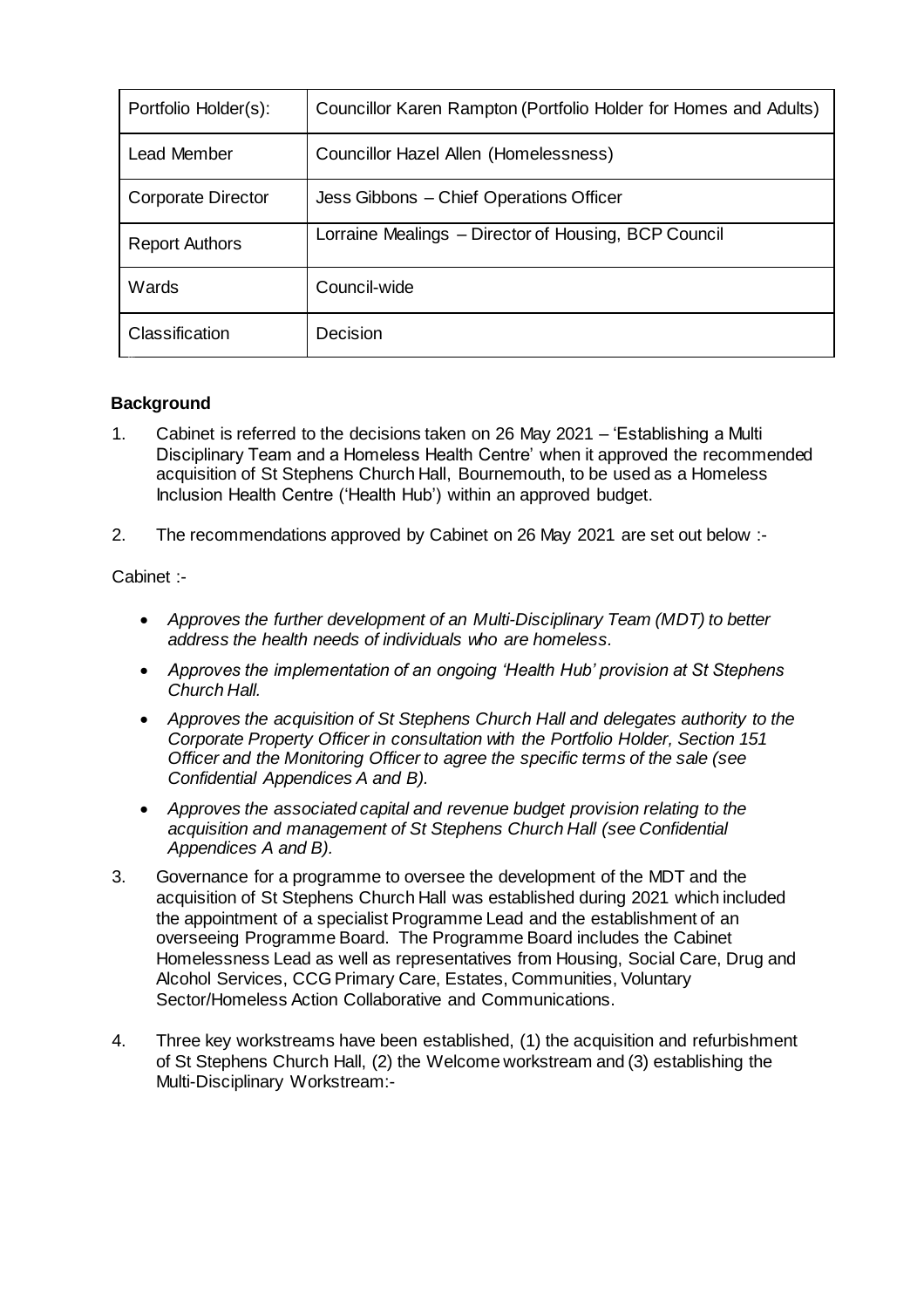| Portfolio Holder(s):      | Councillor Karen Rampton (Portfolio Holder for Homes and Adults) |
|---------------------------|------------------------------------------------------------------|
| Lead Member               | Councillor Hazel Allen (Homelessness)                            |
| <b>Corporate Director</b> | Jess Gibbons - Chief Operations Officer                          |
| <b>Report Authors</b>     | Lorraine Mealings - Director of Housing, BCP Council             |
| Wards                     | Council-wide                                                     |
| Classification            | Decision                                                         |

## **Background**

- 1. Cabinet is referred to the decisions taken on 26 May 2021 'Establishing a Multi Disciplinary Team and a Homeless Health Centre' when it approved the recommended acquisition of St Stephens Church Hall, Bournemouth, to be used as a Homeless Inclusion Health Centre ('Health Hub') within an approved budget.
- 2. The recommendations approved by Cabinet on 26 May 2021 are set out below :-

Cabinet :-

- *Approves the further development of an Multi-Disciplinary Team (MDT) to better address the health needs of individuals who are homeless.*
- *Approves the implementation of an ongoing 'Health Hub' provision at St Stephens Church Hall.*
- *Approves the acquisition of St Stephens Church Hall and delegates authority to the Corporate Property Officer in consultation with the Portfolio Holder, Section 151 Officer and the Monitoring Officer to agree the specific terms of the sale (see Confidential Appendices A and B).*
- *Approves the associated capital and revenue budget provision relating to the acquisition and management of St Stephens Church Hall (see Confidential Appendices A and B).*
- 3. Governance for a programme to oversee the development of the MDT and the acquisition of St Stephens Church Hall was established during 2021 which included the appointment of a specialist Programme Lead and the establishment of an overseeing Programme Board. The Programme Board includes the Cabinet Homelessness Lead as well as representatives from Housing, Social Care, Drug and Alcohol Services, CCG Primary Care, Estates, Communities, Voluntary Sector/Homeless Action Collaborative and Communications.
- 4. Three key workstreams have been established, (1) the acquisition and refurbishment of St Stephens Church Hall, (2) the Welcome workstream and (3) establishing the Multi-Disciplinary Workstream:-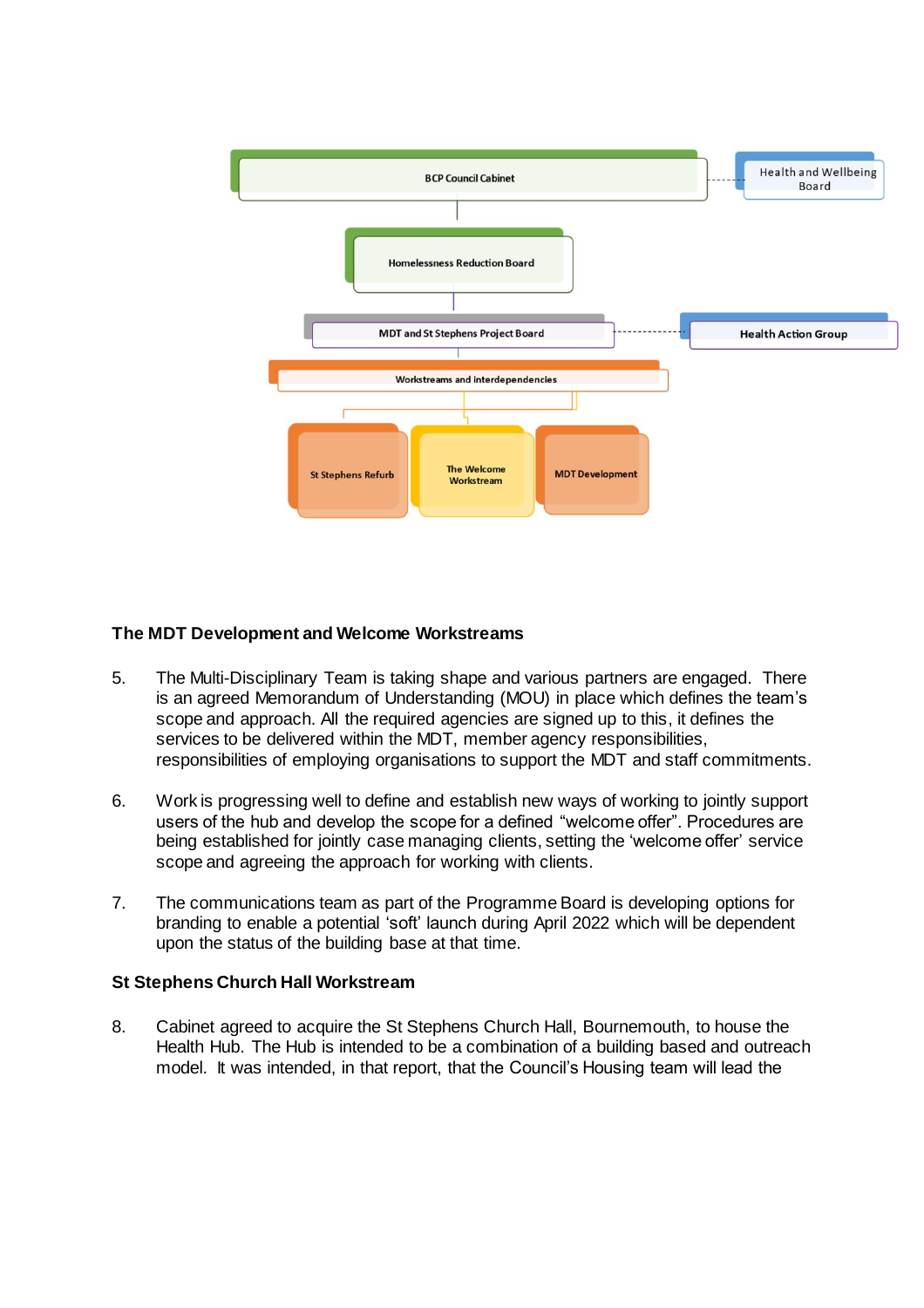

### **The MDT Development and Welcome Workstreams**

- 5. The Multi-Disciplinary Team is taking shape and various partners are engaged. There is an agreed Memorandum of Understanding (MOU) in place which defines the team's scope and approach. All the required agencies are signed up to this, it defines the services to be delivered within the MDT, member agency responsibilities, responsibilities of employing organisations to support the MDT and staff commitments.
- 6. Work is progressing well to define and establish new ways of working to jointly support users of the hub and develop the scope for a defined "welcome offer". Procedures are being established for jointly case managing clients, setting the 'welcome offer' service scope and agreeing the approach for working with clients.
- 7. The communications team as part of the Programme Board is developing options for branding to enable a potential 'soft' launch during April 2022 which will be dependent upon the status of the building base at that time.

#### **St Stephens Church Hall Workstream**

8. Cabinet agreed to acquire the St Stephens Church Hall, Bournemouth, to house the Health Hub. The Hub is intended to be a combination of a building based and outreach model. It was intended, in that report, that the Council's Housing team will lead the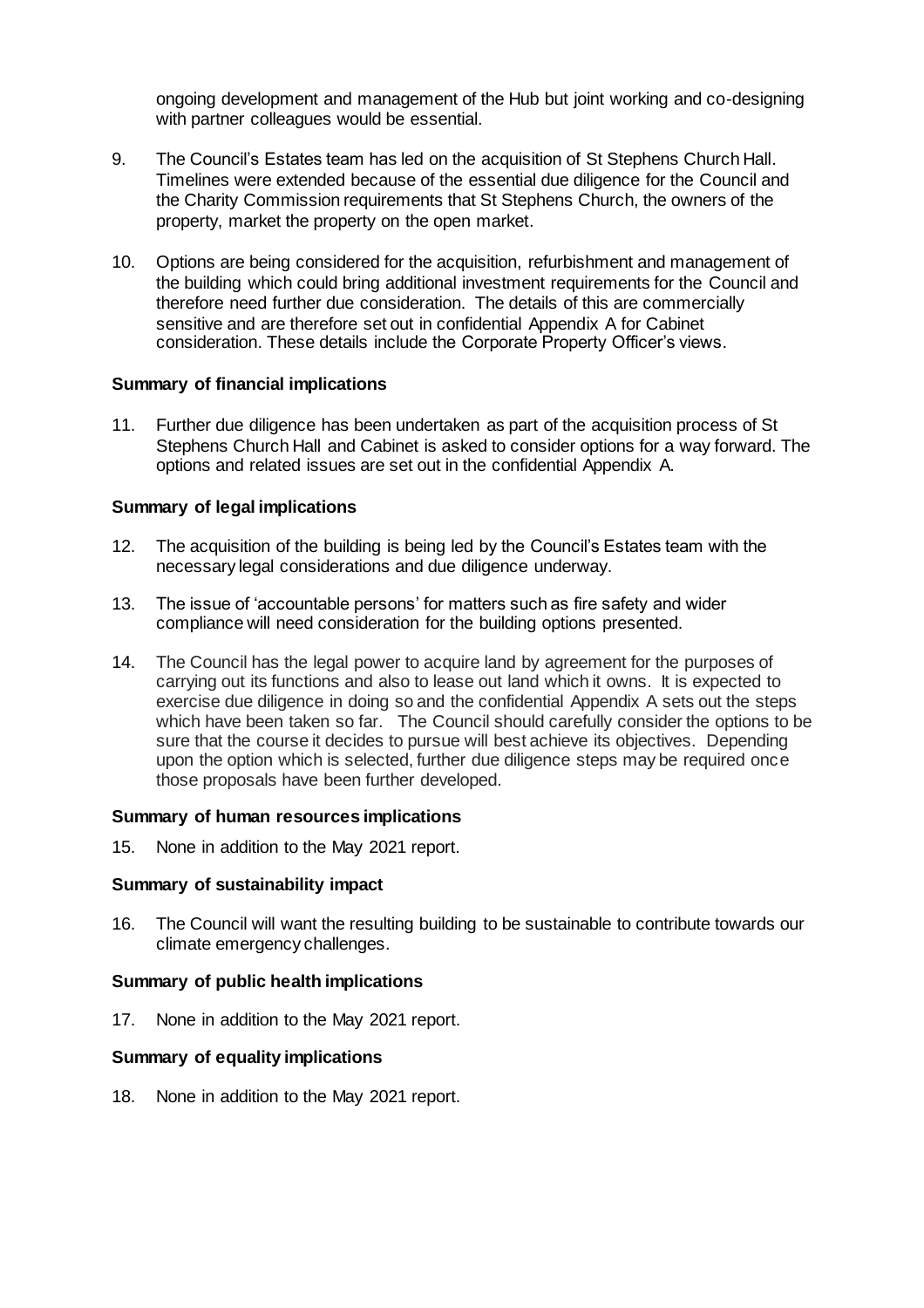ongoing development and management of the Hub but joint working and co-designing with partner colleagues would be essential.

- 9. The Council's Estates team has led on the acquisition of St Stephens Church Hall. Timelines were extended because of the essential due diligence for the Council and the Charity Commission requirements that St Stephens Church, the owners of the property, market the property on the open market.
- 10. Options are being considered for the acquisition, refurbishment and management of the building which could bring additional investment requirements for the Council and therefore need further due consideration. The details of this are commercially sensitive and are therefore set out in confidential Appendix A for Cabinet consideration. These details include the Corporate Property Officer's views.

#### **Summary of financial implications**

11. Further due diligence has been undertaken as part of the acquisition process of St Stephens Church Hall and Cabinet is asked to consider options for a way forward. The options and related issues are set out in the confidential Appendix A.

#### **Summary of legal implications**

- 12. The acquisition of the building is being led by the Council's Estates team with the necessary legal considerations and due diligence underway.
- 13. The issue of 'accountable persons' for matters such as fire safety and wider compliance will need consideration for the building options presented.
- 14. The Council has the legal power to acquire land by agreement for the purposes of carrying out its functions and also to lease out land which it owns. It is expected to exercise due diligence in doing so and the confidential Appendix A sets out the steps which have been taken so far. The Council should carefully consider the options to be sure that the course it decides to pursue will best achieve its objectives. Depending upon the option which is selected, further due diligence steps may be required once those proposals have been further developed.

#### **Summary of human resources implications**

15. None in addition to the May 2021 report.

#### **Summary of sustainability impact**

16. The Council will want the resulting building to be sustainable to contribute towards our climate emergency challenges.

#### **Summary of public health implications**

17. None in addition to the May 2021 report.

#### **Summary of equality implications**

18. None in addition to the May 2021 report.